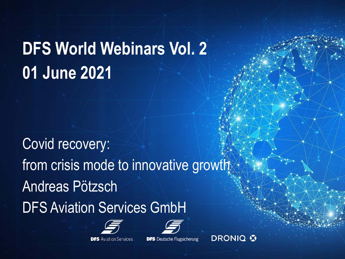# **DFS World Webinars Vol. 2 01 June 2021**

Covid recovery: from crisis mode to innovative growth Andreas Pötzsch DFS Aviation Services GmbH





**DFS** Deutsche Flugsicherung

DRONIQ<sup>5</sup>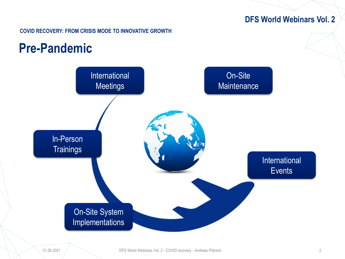**COVID RECOVERY: FROM CRISIS MODE TO INNOVATIVE GROWTH**

### **Pre-Pandemic**

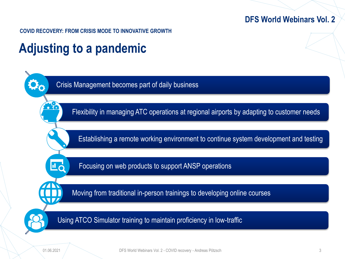**COVID RECOVERY: FROM CRISIS MODE TO INNOVATIVE GROWTH**

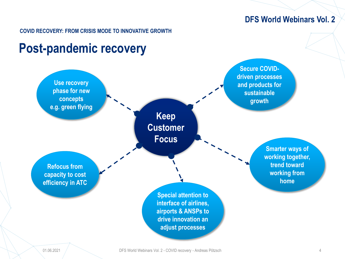**COVID RECOVERY: FROM CRISIS MODE TO INNOVATIVE GROWTH**

### **Post-pandemic recovery**

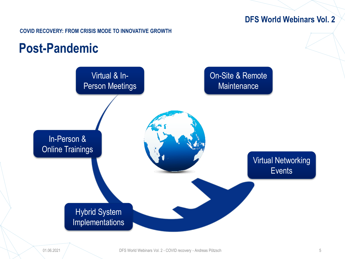**COVID RECOVERY: FROM CRISIS MODE TO INNOVATIVE GROWTH**

## **Post-Pandemic**

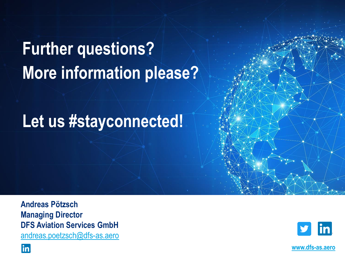# **Further questions? More information please?**

## **Let us #stayconnected!**

**Andreas Pötzsch Managing Director DFS Aviation Services GmbH**

[andreas.poetzsch@dfs-as.aero](mailto:clemens.schiebel@dfs-as.aero)

lin



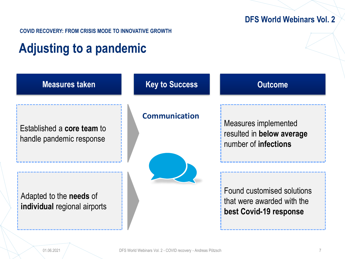**COVID RECOVERY: FROM CRISIS MODE TO INNOVATIVE GROWTH**

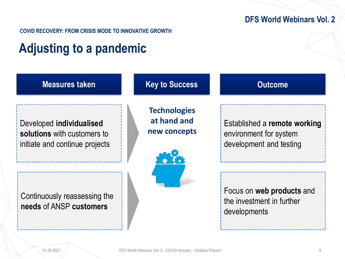**COVID RECOVERY: FROM CRISIS MODE TO INNOVATIVE GROWTH**

| <b>Measures taken</b>                                                                     | <b>Key to Success</b>                              | <b>Outcome</b>                                                                    |
|-------------------------------------------------------------------------------------------|----------------------------------------------------|-----------------------------------------------------------------------------------|
| Developed individualised<br>solutions with customers to<br>initiate and continue projects | <b>Technologies</b><br>at hand and<br>new concepts | Established a remote working<br>environment for system<br>development and testing |
| Continuously reassessing the<br>needs of ANSP customers                                   |                                                    | Focus on web products and<br>the investment in further<br>developments            |